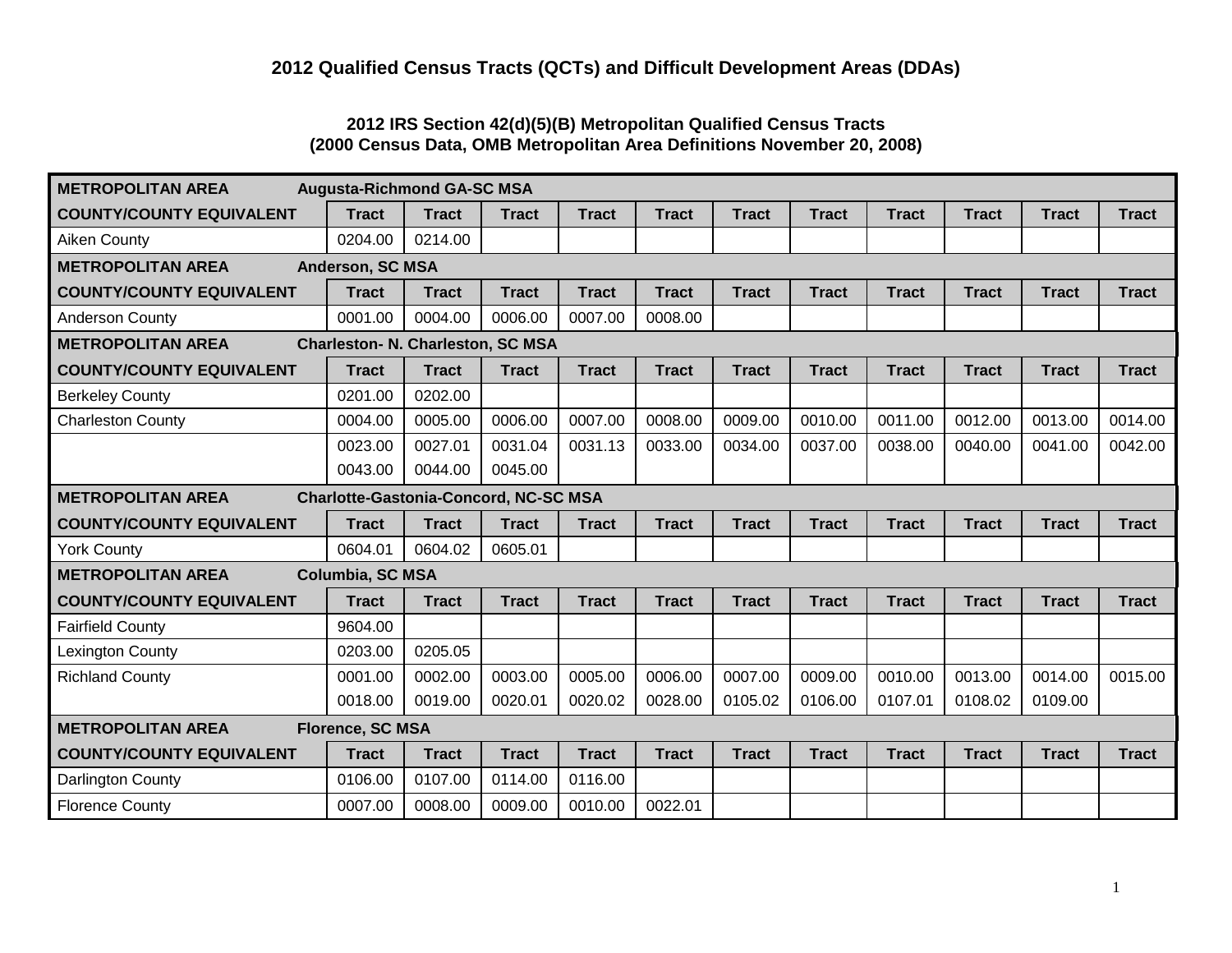#### **2012 IRS Section 42(d)(5)(B) Metropolitan Qualified Census Tracts (2000 Census Data, OMB Metropolitan Area Definitions November 20, 2008)**

| <b>METROPOLITAN AREA</b>                                             | <b>Augusta-Richmond GA-SC MSA</b>            |              |              |              |              |              |              |              |              |              |              |
|----------------------------------------------------------------------|----------------------------------------------|--------------|--------------|--------------|--------------|--------------|--------------|--------------|--------------|--------------|--------------|
| <b>COUNTY/COUNTY EQUIVALENT</b>                                      | <b>Tract</b>                                 | <b>Tract</b> | <b>Tract</b> | <b>Tract</b> | <b>Tract</b> | <b>Tract</b> | <b>Tract</b> | <b>Tract</b> | <b>Tract</b> | <b>Tract</b> | <b>Tract</b> |
| Aiken County                                                         | 0204.00                                      | 0214.00      |              |              |              |              |              |              |              |              |              |
| Anderson, SC MSA<br><b>METROPOLITAN AREA</b>                         |                                              |              |              |              |              |              |              |              |              |              |              |
| <b>COUNTY/COUNTY EQUIVALENT</b>                                      | <b>Tract</b>                                 | <b>Tract</b> | <b>Tract</b> | <b>Tract</b> | <b>Tract</b> | <b>Tract</b> | <b>Tract</b> | <b>Tract</b> | <b>Tract</b> | <b>Tract</b> | <b>Tract</b> |
| <b>Anderson County</b>                                               | 0001.00                                      | 0004.00      | 0006.00      | 0007.00      | 0008.00      |              |              |              |              |              |              |
| <b>Charleston- N. Charleston, SC MSA</b><br><b>METROPOLITAN AREA</b> |                                              |              |              |              |              |              |              |              |              |              |              |
| <b>COUNTY/COUNTY EQUIVALENT</b>                                      | <b>Tract</b>                                 | <b>Tract</b> | <b>Tract</b> | <b>Tract</b> | <b>Tract</b> | <b>Tract</b> | <b>Tract</b> | <b>Tract</b> | <b>Tract</b> | <b>Tract</b> | <b>Tract</b> |
| <b>Berkeley County</b>                                               | 0201.00                                      | 0202.00      |              |              |              |              |              |              |              |              |              |
| <b>Charleston County</b>                                             | 0004.00                                      | 0005.00      | 0006.00      | 0007.00      | 0008.00      | 0009.00      | 0010.00      | 0011.00      | 0012.00      | 0013.00      | 0014.00      |
|                                                                      | 0023.00                                      | 0027.01      | 0031.04      | 0031.13      | 0033.00      | 0034.00      | 0037.00      | 0038.00      | 0040.00      | 0041.00      | 0042.00      |
|                                                                      | 0043.00                                      | 0044.00      | 0045.00      |              |              |              |              |              |              |              |              |
| <b>METROPOLITAN AREA</b>                                             | <b>Charlotte-Gastonia-Concord, NC-SC MSA</b> |              |              |              |              |              |              |              |              |              |              |
| <b>COUNTY/COUNTY EQUIVALENT</b>                                      | <b>Tract</b>                                 | <b>Tract</b> | <b>Tract</b> | <b>Tract</b> | <b>Tract</b> | <b>Tract</b> | <b>Tract</b> | <b>Tract</b> | <b>Tract</b> | <b>Tract</b> | <b>Tract</b> |
| <b>York County</b>                                                   | 0604.01                                      | 0604.02      | 0605.01      |              |              |              |              |              |              |              |              |
| <b>METROPOLITAN AREA</b>                                             | Columbia, SC MSA                             |              |              |              |              |              |              |              |              |              |              |
| <b>COUNTY/COUNTY EQUIVALENT</b>                                      | <b>Tract</b>                                 | <b>Tract</b> | <b>Tract</b> | <b>Tract</b> | <b>Tract</b> | <b>Tract</b> | <b>Tract</b> | <b>Tract</b> | <b>Tract</b> | <b>Tract</b> | <b>Tract</b> |
| <b>Fairfield County</b>                                              | 9604.00                                      |              |              |              |              |              |              |              |              |              |              |
| <b>Lexington County</b>                                              | 0203.00                                      | 0205.05      |              |              |              |              |              |              |              |              |              |
| <b>Richland County</b>                                               | 0001.00                                      | 0002.00      | 0003.00      | 0005.00      | 0006.00      | 0007.00      | 0009.00      | 0010.00      | 0013.00      | 0014.00      | 0015.00      |
|                                                                      | 0018.00                                      | 0019.00      | 0020.01      | 0020.02      | 0028.00      | 0105.02      | 0106.00      | 0107.01      | 0108.02      | 0109.00      |              |
| <b>METROPOLITAN AREA</b><br><b>Florence, SC MSA</b>                  |                                              |              |              |              |              |              |              |              |              |              |              |
| <b>COUNTY/COUNTY EQUIVALENT</b>                                      | <b>Tract</b>                                 | <b>Tract</b> | <b>Tract</b> | <b>Tract</b> | <b>Tract</b> | <b>Tract</b> | <b>Tract</b> | <b>Tract</b> | <b>Tract</b> | <b>Tract</b> | <b>Tract</b> |
| Darlington County                                                    | 0106.00                                      | 0107.00      | 0114.00      | 0116.00      |              |              |              |              |              |              |              |
| <b>Florence County</b>                                               | 0007.00                                      | 0008.00      | 0009.00      | 0010.00      | 0022.01      |              |              |              |              |              |              |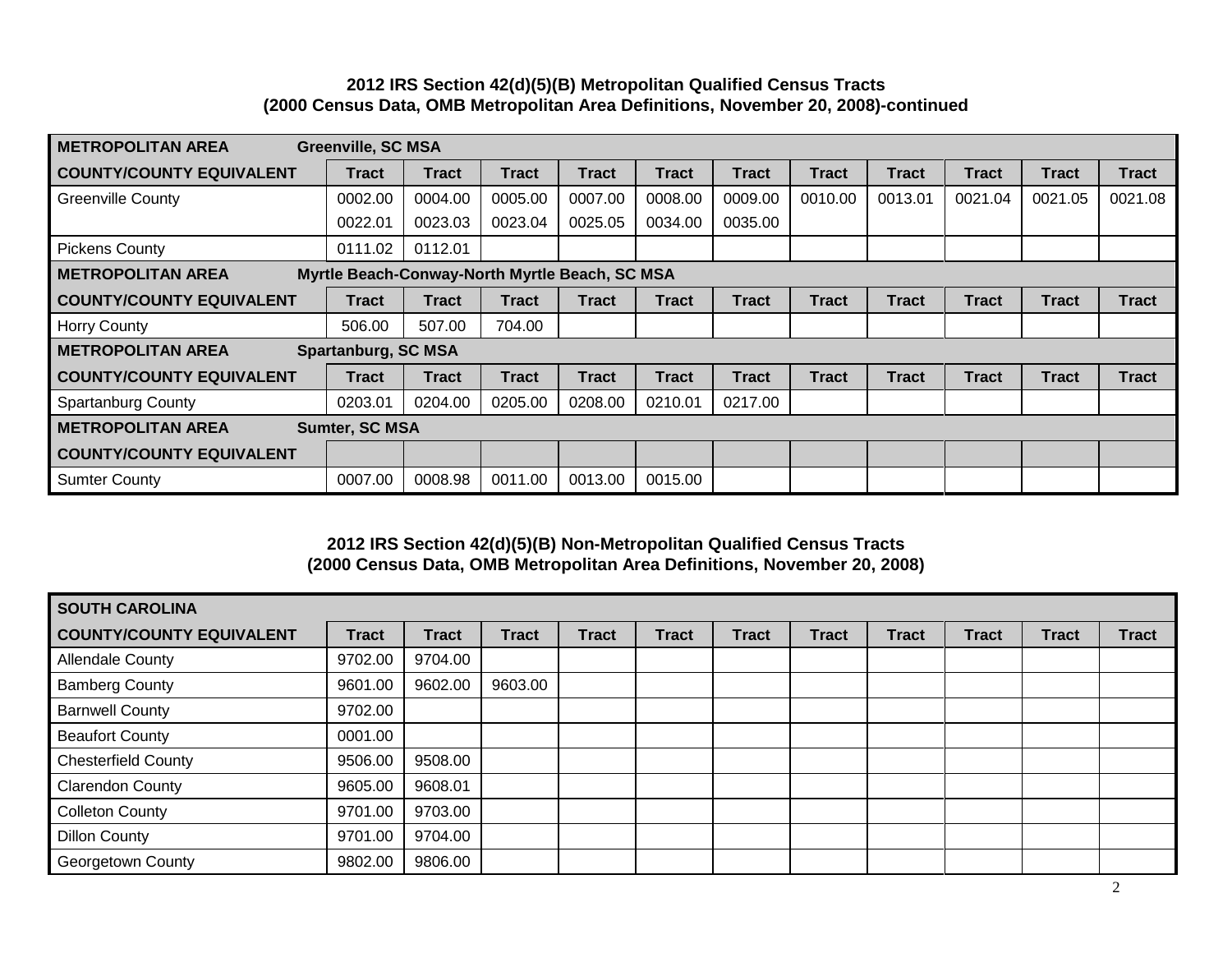## **2012 IRS Section 42(d)(5)(B) Metropolitan Qualified Census Tracts (2000 Census Data, OMB Metropolitan Area Definitions, November 20, 2008)-continued**

| <b>METROPOLITAN AREA</b>                                                   | <b>Greenville, SC MSA</b>  |              |              |              |              |              |              |         |              |              |              |
|----------------------------------------------------------------------------|----------------------------|--------------|--------------|--------------|--------------|--------------|--------------|---------|--------------|--------------|--------------|
| <b>COUNTY/COUNTY EQUIVALENT</b>                                            | Tract                      | <b>Tract</b> | <b>Tract</b> | <b>Tract</b> | <b>Tract</b> | Tract        | <b>Tract</b> | Tract   | <b>Tract</b> | <b>Tract</b> | <b>Tract</b> |
| <b>Greenville County</b>                                                   | 0002.00                    | 0004.00      | 0005.00      | 0007.00      | 0008.00      | 0009.00      | 0010.00      | 0013.01 | 0021.04      | 0021.05      | 0021.08      |
|                                                                            | 0022.01                    | 0023.03      | 0023.04      | 0025.05      | 0034.00      | 0035.00      |              |         |              |              |              |
| <b>Pickens County</b>                                                      | 0111.02                    | 0112.01      |              |              |              |              |              |         |              |              |              |
| Myrtle Beach-Conway-North Myrtle Beach, SC MSA<br><b>METROPOLITAN AREA</b> |                            |              |              |              |              |              |              |         |              |              |              |
| <b>COUNTY/COUNTY EQUIVALENT</b>                                            | Tract                      | <b>Tract</b> | <b>Tract</b> | <b>Tract</b> | <b>Tract</b> | <b>Tract</b> | <b>Tract</b> | Tract   | <b>Tract</b> | <b>Tract</b> | <b>Tract</b> |
| <b>Horry County</b>                                                        | 506.00                     | 507.00       | 704.00       |              |              |              |              |         |              |              |              |
| <b>METROPOLITAN AREA</b>                                                   | <b>Spartanburg, SC MSA</b> |              |              |              |              |              |              |         |              |              |              |
| <b>COUNTY/COUNTY EQUIVALENT</b>                                            | Tract                      | <b>Tract</b> | <b>Tract</b> | <b>Tract</b> | <b>Tract</b> | <b>Tract</b> | <b>Tract</b> | Tract   | <b>Tract</b> | Tract        | <b>Tract</b> |
| <b>Spartanburg County</b>                                                  | 0203.01                    | 0204.00      | 0205.00      | 0208.00      | 0210.01      | 0217.00      |              |         |              |              |              |
| <b>METROPOLITAN AREA</b><br><b>Sumter, SC MSA</b>                          |                            |              |              |              |              |              |              |         |              |              |              |
| <b>COUNTY/COUNTY EQUIVALENT</b>                                            |                            |              |              |              |              |              |              |         |              |              |              |
| <b>Sumter County</b>                                                       | 0007.00                    | 0008.98      | 0011.00      | 0013.00      | 0015.00      |              |              |         |              |              |              |

## **2012 IRS Section 42(d)(5)(B) Non-Metropolitan Qualified Census Tracts (2000 Census Data, OMB Metropolitan Area Definitions, November 20, 2008)**

| <b>SOUTH CAROLINA</b>           |              |              |              |              |              |              |              |              |              |              |              |
|---------------------------------|--------------|--------------|--------------|--------------|--------------|--------------|--------------|--------------|--------------|--------------|--------------|
| <b>COUNTY/COUNTY EQUIVALENT</b> | <b>Tract</b> | <b>Tract</b> | <b>Tract</b> | <b>Tract</b> | <b>Tract</b> | <b>Tract</b> | <b>Tract</b> | <b>Tract</b> | <b>Tract</b> | <b>Tract</b> | <b>Tract</b> |
| <b>Allendale County</b>         | 9702.00      | 9704.00      |              |              |              |              |              |              |              |              |              |
| <b>Bamberg County</b>           | 9601.00      | 9602.00      | 9603.00      |              |              |              |              |              |              |              |              |
| <b>Barnwell County</b>          | 9702.00      |              |              |              |              |              |              |              |              |              |              |
| <b>Beaufort County</b>          | 0001.00      |              |              |              |              |              |              |              |              |              |              |
| <b>Chesterfield County</b>      | 9506.00      | 9508.00      |              |              |              |              |              |              |              |              |              |
| <b>Clarendon County</b>         | 9605.00      | 9608.01      |              |              |              |              |              |              |              |              |              |
| <b>Colleton County</b>          | 9701.00      | 9703.00      |              |              |              |              |              |              |              |              |              |
| <b>Dillon County</b>            | 9701.00      | 9704.00      |              |              |              |              |              |              |              |              |              |
| Georgetown County               | 9802.00      | 9806.00      |              |              |              |              |              |              |              |              |              |